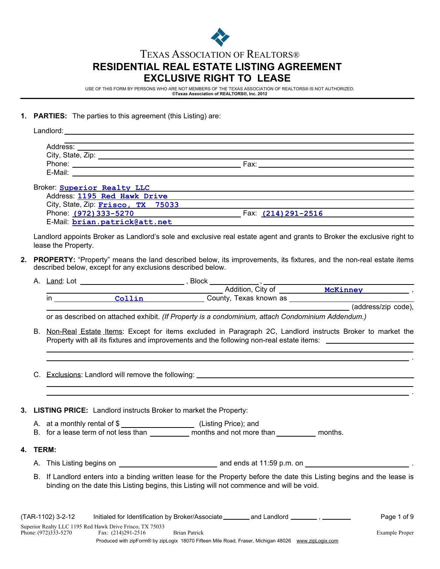

# **RESIDENTIAL REAL ESTATE LISTING AGREEMENT EXCLUSIVE RIGHT TO LEASE** TEXAS ASSOCIATION OF REALTORS®

USE OF THIS FORM BY PERSONS WHO ARE NOT MEMBERS OF THE TEXAS ASSOCIATION OF REALTORS® IS NOT AUTHORIZED. **©Texas Association of REALTORS®, Inc. 2012**

### **1. PARTIES:** The parties to this agreement (this Listing) are:

| Landlord:                          |                     |  |
|------------------------------------|---------------------|--|
|                                    |                     |  |
|                                    |                     |  |
|                                    |                     |  |
| E-Mail: $\qquad \qquad$            |                     |  |
| Broker: Superior Realty LLC        |                     |  |
| Address: 1195 Red Hawk Drive       |                     |  |
| City, State, Zip: Frisco, TX 75033 |                     |  |
| Phone: (972) 333-5270              | Fax: (214) 291-2516 |  |

Phone: (972) 333-5270 E-Mail: **brian.patrick@att.net**

**4. TERM:**

Landlord appoints Broker as Landlord's sole and exclusive real estate agent and grants to Broker the exclusive right to lease the Property.

**2. PROPERTY:** "Property" means the land described below, its improvements, its fixtures, and the non-real estate items described below, except for any exclusions described below.

|    |                   |                                                                                                   |  | and a set of the set of the set of the set of the set of the set of the set of the set of the set of the set of the set of the set of the set of the set of the set of the set of the set of the set of the set of the set of  |  |
|----|-------------------|---------------------------------------------------------------------------------------------------|--|--------------------------------------------------------------------------------------------------------------------------------------------------------------------------------------------------------------------------------|--|
|    |                   |                                                                                                   |  |                                                                                                                                                                                                                                |  |
|    |                   |                                                                                                   |  |                                                                                                                                                                                                                                |  |
|    |                   | or as described on attached exhibit. (If Property is a condominium, attach Condominium Addendum.) |  |                                                                                                                                                                                                                                |  |
|    |                   |                                                                                                   |  | B. Non-Real Estate Items: Except for items excluded in Paragraph 2C, Landlord instructs Broker to market the<br>Property with all its fixtures and improvements and the following non-real estate items: _____________________ |  |
|    |                   |                                                                                                   |  |                                                                                                                                                                                                                                |  |
|    |                   |                                                                                                   |  |                                                                                                                                                                                                                                |  |
|    |                   |                                                                                                   |  |                                                                                                                                                                                                                                |  |
|    |                   |                                                                                                   |  |                                                                                                                                                                                                                                |  |
|    |                   | 3. LISTING PRICE: Landlord instructs Broker to market the Property:                               |  |                                                                                                                                                                                                                                |  |
|    |                   | A. at a monthly rental of \$<br><u> Listing</u> Price); and                                       |  |                                                                                                                                                                                                                                |  |
|    |                   |                                                                                                   |  |                                                                                                                                                                                                                                |  |
| 4. | TERM:             |                                                                                                   |  |                                                                                                                                                                                                                                |  |
|    |                   |                                                                                                   |  |                                                                                                                                                                                                                                |  |
|    |                   | binding on the date this Listing begins, this Listing will not commence and will be void.         |  | B. If Landlord enters into a binding written lease for the Property before the date this Listing begins and the lease is                                                                                                       |  |
|    |                   |                                                                                                   |  |                                                                                                                                                                                                                                |  |
|    | (TAR-1102) 3-2-12 | Initialed for Identification by Broker/Associate ________ and Landlord __________, ________       |  | Page 1 of 9                                                                                                                                                                                                                    |  |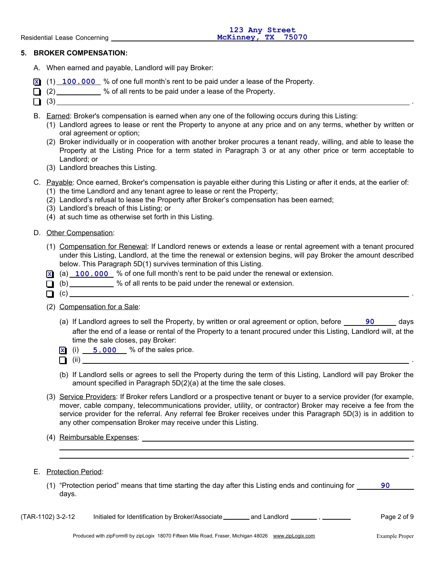## **5. BROKER COMPENSATION:**

- A. When earned and payable, Landlord will pay Broker:
- **X** (1) **100.000** % of one full month's rent to be paid under a lease of the Property.
- $\Box$  (2)  $\Box$  % of all rents to be paid under a lease of the Property.
- $\Box$  (3)
- B. Earned: Broker's compensation is earned when any one of the following occurs during this Listing:
	- (1) Landlord agrees to lease or rent the Property to anyone at any price and on any terms, whether by written or oral agreement or option;
	- (2) Broker individually or in cooperation with another broker procures a tenant ready, willing, and able to lease the Property at the Listing Price for a term stated in Paragraph 3 or at any other price or term acceptable to Landlord; or
	- (3) Landlord breaches this Listing.
- C. Payable: Once earned, Broker's compensation is payable either during this Listing or after it ends, at the earlier of:
	- (1) the time Landlord and any tenant agree to lease or rent the Property;
	- (2) Landlord's refusal to lease the Property after Broker's compensation has been earned;
	- (3) Landlord's breach of this Listing; or
	- (4) at such time as otherwise set forth in this Listing.
- D. Other Compensation:
	- (1) Compensation for Renewal: If Landlord renews or extends a lease or rental agreement with a tenant procured under this Listing, Landlord, at the time the renewal or extension begins, will pay Broker the amount described below. This Paragraph 5D(1) survives termination of this Listing.
	- **X** (a) **100.000** % of one full month's rent to be paid under the renewal or extension.
	- $\Box$  (b)  $\Box$  % of all rents to be paid under the renewal or extension.
	- (c) .
	- (2) Compensation for a Sale:
		- (a) If Landlord agrees to sell the Property, by written or oral agreement or option, before **190 Comment Agglery** after the end of a lease or rental of the Property to a tenant procured under this Listing, Landlord will, at the time the sale closes, pay Broker:
		- $\overline{\textbf{x}}$  (i)  $\overline{\textbf{5.000}}$  % of the sales price.
		- $\Box$  (ii)  $\Box$
		- (b) If Landlord sells or agrees to sell the Property during the term of this Listing, Landlord will pay Broker the amount specified in Paragraph 5D(2)(a) at the time the sale closes.
	- (3) Service Providers: If Broker refers Landlord or a prospective tenant or buyer to a service provider (for example, mover, cable company, telecommunications provider, utility, or contractor) Broker may receive a fee from the service provider for the referral. Any referral fee Broker receives under this Paragraph 5D(3) is in addition to any other compensation Broker may receive under this Listing.
	- (4) Reimbursable Expenses:
- E. Protection Period:
	- (1) "Protection period" means that time starting the day after this Listing ends and continuing for **90** days.

(TAR-1102) 3-2-12 Initialed for Identification by Broker/Associate \_\_\_\_\_\_\_\_ and Landlord \_\_\_\_\_\_\_\_, \_\_\_\_\_\_\_\_ Page 2 of 9

.

.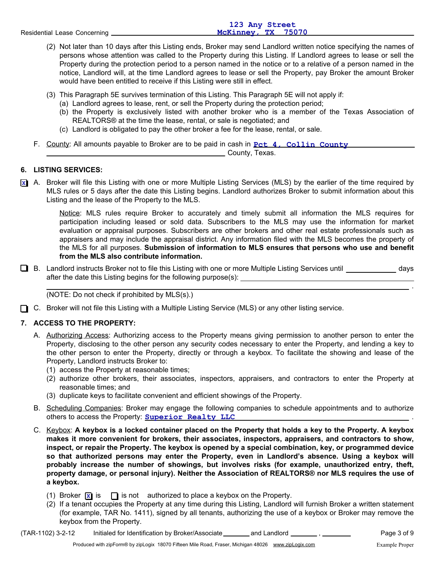|                              | 123 Any Street     |
|------------------------------|--------------------|
| Residential Lease Concerning | McKinney, TX 75070 |
|                              |                    |

- (2) Not later than 10 days after this Listing ends, Broker may send Landlord written notice specifying the names of persons whose attention was called to the Property during this Listing. If Landlord agrees to lease or sell the Property during the protection period to a person named in the notice or to a relative of a person named in the notice, Landlord will, at the time Landlord agrees to lease or sell the Property, pay Broker the amount Broker would have been entitled to receive if this Listing were still in effect.
- (3) This Paragraph 5E survives termination of this Listing. This Paragraph 5E will not apply if:
	- (a) Landlord agrees to lease, rent, or sell the Property during the protection period;
	- (b) the Property is exclusively listed with another broker who is a member of the Texas Association of REALTORS® at the time the lease, rental, or sale is negotiated; and
	- (c) Landlord is obligated to pay the other broker a fee for the lease, rental, or sale.
- F. County: All amounts payable to Broker are to be paid in cash in **Pet 4, Collin County**

**County, Texas.** 

# **6. LISTING SERVICES:**

 $\overline{\mathbf{x}}$  A. Broker will file this Listing with one or more Multiple Listing Services (MLS) by the earlier of the time required by MLS rules or 5 days after the date this Listing begins. Landlord authorizes Broker to submit information about this Listing and the lease of the Property to the MLS.

Notice: MLS rules require Broker to accurately and timely submit all information the MLS requires for participation including leased or sold data. Subscribers to the MLS may use the information for market evaluation or appraisal purposes. Subscribers are other brokers and other real estate professionals such as appraisers and may include the appraisal district. Any information filed with the MLS becomes the property of the MLS for all purposes. **Submission of information to MLS ensures that persons who use and benefit from the MLS also contribute information.**

■ B. Landlord instructs Broker not to file this Listing with one or more Multiple Listing Services until entil days after the date this Listing begins for the following purpose(s):

(NOTE: Do not check if prohibited by MLS(s).)

□ C. Broker will not file this Listing with a Multiple Listing Service (MLS) or any other listing service.

# **7. ACCESS TO THE PROPERTY:**

- A. Authorizing Access: Authorizing access to the Property means giving permission to another person to enter the Property, disclosing to the other person any security codes necessary to enter the Property, and lending a key to the other person to enter the Property, directly or through a keybox. To facilitate the showing and lease of the Property, Landlord instructs Broker to:
	- (1) access the Property at reasonable times;
	- (2) authorize other brokers, their associates, inspectors, appraisers, and contractors to enter the Property at reasonable times; and
	- (3) duplicate keys to facilitate convenient and efficient showings of the Property.
- B. Scheduling Companies: Broker may engage the following companies to schedule appointments and to authorize others to access the Property: . **Superior Realty LLC**
- C. Keybox: **A keybox is a locked container placed on the Property that holds a key to the Property. A keybox makes it more convenient for brokers, their associates, inspectors, appraisers, and contractors to show, inspect, or repair the Property. The keybox is opened by a special combination, key, or programmed device so that authorized persons may enter the Property, even in Landlord's absence. Using a keybox will probably increase the number of showings, but involves risks (for example, unauthorized entry, theft, property damage, or personal injury). Neither the Association of REALTORS® nor MLS requires the use of a keybox.**
	- (1) Broker  $\overline{x}$  is  $\Box$  is not authorized to place a keybox on the Property.
	- (2) If a tenant occupies the Property at any time during this Listing, Landlord will furnish Broker a written statement (for example, TAR No. 1411), signed by all tenants, authorizing the use of a keybox or Broker may remove the keybox from the Property.

(TAR-1102) 3-2-12 Initialed for Identification by Broker/Associate\_\_\_\_\_\_\_\_ and Landlord \_\_\_\_\_\_\_\_,\_\_\_\_\_\_\_\_ Page 3 of 9

.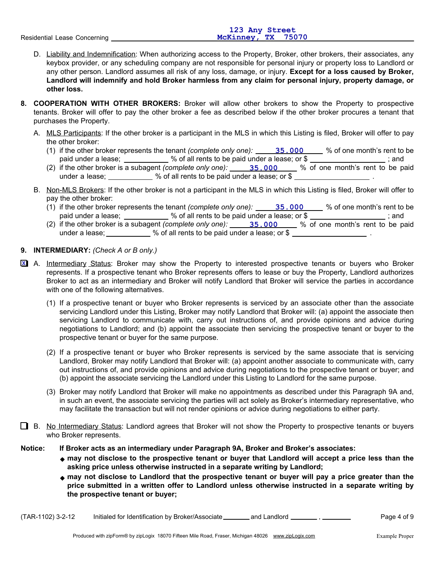|                              | 123 Any Street     |
|------------------------------|--------------------|
| Residential Lease Concerning | McKinney, TX 75070 |
|                              |                    |

- D. Liability and Indemnification: When authorizing access to the Property, Broker, other brokers, their associates, any keybox provider, or any scheduling company are not responsible for personal injury or property loss to Landlord or any other person. Landlord assumes all risk of any loss, damage, or injury. **Except for a loss caused by Broker, Landlord will indemnify and hold Broker harmless from any claim for personal injury, property damage, or other loss.**
- **8. COOPERATION WITH OTHER BROKERS:** Broker will allow other brokers to show the Property to prospective tenants. Broker will offer to pay the other broker a fee as described below if the other broker procures a tenant that purchases the Property.
	- A. <u>MLS Participants</u>: If the other broker is a participant in the MLS in which this Listing is filed, Broker will offer to pay the other broker:
		- (1) if the other broker represents the tenant *(complete only one):* 35.000 % of one month's rent to be paid under a lease;  $\frac{1}{2}$  % of all rents to be paid under a lease; or \$
		- (2) if the other broker is a subagent *(complete only one):* 35.000 \_\_\_ % of one month's rent to be paid under a lease; \_\_\_\_\_\_\_\_\_\_ % of all rents to be paid under a lease; or \$
	- B. Non-MLS Brokers: If the other broker is not a participant in the MLS in which this Listing is filed, Broker will offer to pay the other broker:
		- (1) if the other broker represents the tenant *(complete only one):* 35,000 \_\_\_ % of one month's rent to be paid under a lease; \_\_\_\_\_\_\_\_\_\_\_ % of all rents to be paid under a lease; or  $\$$  \_\_\_\_\_\_\_\_\_\_\_\_\_\_\_\_\_\_\_\_; and **35.000**
		- (2) if the other broker is a subagent *(complete only one):* 35,000 \_\_\_ % of one month's rent to be paid under a lease;  $\frac{1}{2}$  % of all rents to be paid under a lease; or \$ . **35.000**

## **9. INTERMEDIARY:** *(Check A or B only.)*

- A. Intermediary Status: Broker may show the Property to interested prospective tenants or buyers who Broker **X** represents. If a prospective tenant who Broker represents offers to lease or buy the Property, Landlord authorizes Broker to act as an intermediary and Broker will notify Landlord that Broker will service the parties in accordance with one of the following alternatives.
	- (1) If a prospective tenant or buyer who Broker represents is serviced by an associate other than the associate servicing Landlord under this Listing, Broker may notify Landlord that Broker will: (a) appoint the associate then servicing Landlord to communicate with, carry out instructions of, and provide opinions and advice during negotiations to Landlord; and (b) appoint the associate then servicing the prospective tenant or buyer to the prospective tenant or buyer for the same purpose.
	- (2) If a prospective tenant or buyer who Broker represents is serviced by the same associate that is servicing Landlord, Broker may notify Landlord that Broker will: (a) appoint another associate to communicate with, carry out instructions of, and provide opinions and advice during negotiations to the prospective tenant or buyer; and (b) appoint the associate servicing the Landlord under this Listing to Landlord for the same purpose.
	- (3) Broker may notify Landlord that Broker will make no appointments as described under this Paragraph 9A and, in such an event, the associate servicing the parties will act solely as Broker's intermediary representative, who may facilitate the transaction but will not render opinions or advice during negotiations to either party.
- B. No Intermediary Status: Landlord agrees that Broker will not show the Property to prospective tenants or buyers who Broker represents.
- **Notice: If Broker acts as an intermediary under Paragraph 9A, Broker and Broker's associates:** 
	- **may not disclose to the prospective tenant or buyer that Landlord will accept a price less than the asking price unless otherwise instructed in a separate writing by Landlord;**
	- **may not disclose to Landlord that the prospective tenant or buyer will pay a price greater than the price submitted in a written offer to Landlord unless otherwise instructed in a separate writing by the prospective tenant or buyer;**

Page 4 of 9 (TAR-1102) 3-2-12 Initialed for Identification by Broker/Associate \_\_\_\_\_\_\_\_ and Landlord \_\_\_\_\_\_\_\_\_, \_\_\_\_\_\_\_\_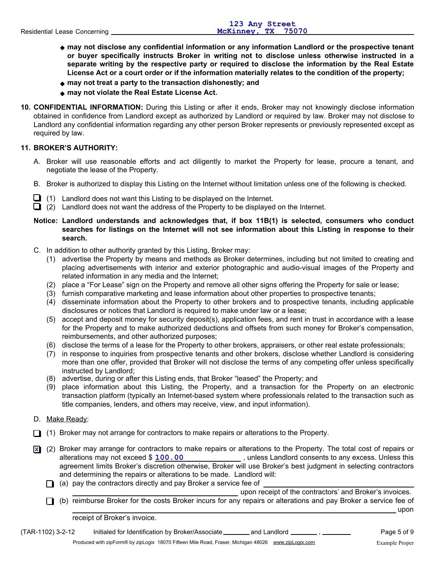- **may not disclose any confidential information or any information Landlord or the prospective tenant or buyer specifically instructs Broker in writing not to disclose unless otherwise instructed in a separate writing by the respective party or required to disclose the information by the Real Estate License Act or a court order or if the information materially relates to the condition of the property;**
- **may not treat a party to the transaction dishonestly; and**
- **may not violate the Real Estate License Act.**
- **10. CONFIDENTIAL INFORMATION:** During this Listing or after it ends, Broker may not knowingly disclose information obtained in confidence from Landlord except as authorized by Landlord or required by law. Broker may not disclose to Landlord any confidential information regarding any other person Broker represents or previously represented except as required by law.

# **11. BROKER'S AUTHORITY:**

- A. Broker will use reasonable efforts and act diligently to market the Property for lease, procure a tenant, and negotiate the lease of the Property.
- B. Broker is authorized to display this Listing on the Internet without limitation unless one of the following is checked.
- $\Box$  (1) Landlord does not want this Listing to be displayed on the Internet.
- $\Box$  (2) Landlord does not want the address of the Property to be displayed on the Internet.
- **Landlord understands and acknowledges that, if box 11B(1) is selected, consumers who conduct Notice: searches for listings on the Internet will not see information about this Listing in response to their search.**
- C. In addition to other authority granted by this Listing, Broker may:
	- (1) advertise the Property by means and methods as Broker determines, including but not limited to creating and placing advertisements with interior and exterior photographic and audio-visual images of the Property and related information in any media and the Internet;
	- (2) place a "For Lease" sign on the Property and remove all other signs offering the Property for sale or lease;
	- (3) furnish comparative marketing and lease information about other properties to prospective tenants;
	- (4) disseminate information about the Property to other brokers and to prospective tenants, including applicable disclosures or notices that Landlord is required to make under law or a lease;
	- (5) accept and deposit money for security deposit(s), application fees, and rent in trust in accordance with a lease for the Property and to make authorized deductions and offsets from such money for Broker's compensation, reimbursements, and other authorized purposes;
	- (6) disclose the terms of a lease for the Property to other brokers, appraisers, or other real estate professionals;
	- (7) in response to inquiries from prospective tenants and other brokers, disclose whether Landlord is considering more than one offer, provided that Broker will not disclose the terms of any competing offer unless specifically instructed by Landlord;
	- (8) advertise, during or after this Listing ends, that Broker "leased" the Property; and
	- (9) place information about this Listing, the Property, and a transaction for the Property on an electronic transaction platform (typically an Internet-based system where professionals related to the transaction such as title companies, lenders, and others may receive, view, and input information).
- D. Make Ready:
- $\Box$  (1) Broker may not arrange for contractors to make repairs or alterations to the Property.
- (2) Broker may arrange for contractors to make repairs or alterations to the Property. The total cost of repairs or **X** alterations may not exceed \$  $\frac{100.00}{2}$ , unless Landlord consents to any excess. Unless this agreement limits Broker's discretion otherwise, Broker will use Broker's best judgment in selecting contractors and determining the repairs or alterations to be made. Landlord will:
	- (a) pay the contractors directly and pay Broker a service fee of

upon receipt of the contractors' and Broker's invoices.

(b) reimburse Broker for the costs Broker incurs for any repairs or alterations and pay Broker a service fee of upon

receipt of Broker's invoice.

(TAR-1102) 3-2-12 Initialed for Identification by Broker/Associate \_\_\_\_\_\_\_\_ and Landlord \_\_\_\_\_\_\_\_, \_\_\_\_\_\_\_\_ Page 5 of 9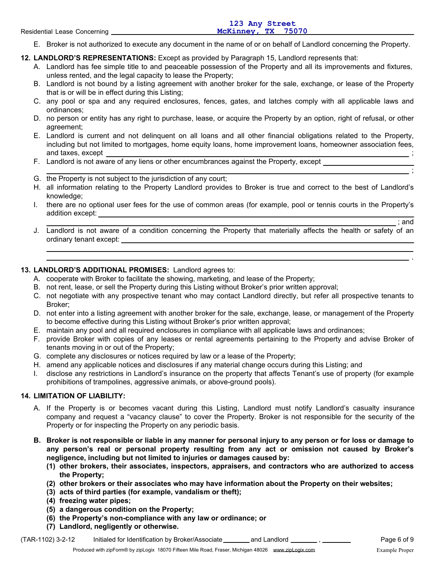|  | Residential Lease Concerning |  |
|--|------------------------------|--|
|  |                              |  |

E. Broker is not authorized to execute any document in the name of or on behalf of Landlord concerning the Property.

**12. LANDLORD'S REPRESENTATIONS:** Except as provided by Paragraph 15, Landlord represents that:

- A. Landlord has fee simple title to and peaceable possession of the Property and all its improvements and fixtures, unless rented, and the legal capacity to lease the Property;
- B. Landlord is not bound by a listing agreement with another broker for the sale, exchange, or lease of the Property that is or will be in effect during this Listing;
- C. any pool or spa and any required enclosures, fences, gates, and latches comply with all applicable laws and ordinances;
- D. no person or entity has any right to purchase, lease, or acquire the Property by an option, right of refusal, or other agreement;
- E. Landlord is current and not delinquent on all loans and all other financial obligations related to the Property, including but not limited to mortgages, home equity loans, home improvement loans, homeowner association fees, and taxes, except  $\hspace{1.5cm}$ ;
- F. Landlord is not aware of any liens or other encumbrances against the Property, except
- G. the Property is not subject to the jurisdiction of any court;
- H. all information relating to the Property Landlord provides to Broker is true and correct to the best of Landlord's knowledge;
- I. there are no optional user fees for the use of common areas (for example, pool or tennis courts in the Property's addition except:

; and

.

;

J. Landlord is not aware of a condition concerning the Property that materially affects the health or safety of an ordinary tenant except:

# **13. LANDLORD'S ADDITIONAL PROMISES:** Landlord agrees to:

- A. cooperate with Broker to facilitate the showing, marketing, and lease of the Property;
- B. not rent, lease, or sell the Property during this Listing without Broker's prior written approval;
- C. not negotiate with any prospective tenant who may contact Landlord directly, but refer all prospective tenants to Broker;
- D. not enter into a listing agreement with another broker for the sale, exchange, lease, or management of the Property to become effective during this Listing without Broker's prior written approval;
- E. maintain any pool and all required enclosures in compliance with all applicable laws and ordinances;
- F. provide Broker with copies of any leases or rental agreements pertaining to the Property and advise Broker of tenants moving in or out of the Property;
- G. complete any disclosures or notices required by law or a lease of the Property;
- H. amend any applicable notices and disclosures if any material change occurs during this Listing; and
- I. disclose any restrictions in Landlord's insurance on the property that affects Tenant's use of property (for example prohibitions of trampolines, aggressive animals, or above-ground pools).

# **14. LIMITATION OF LIABILITY:**

- A. If the Property is or becomes vacant during this Listing, Landlord must notify Landlord's casualty insurance company and request a "vacancy clause" to cover the Property. Broker is not responsible for the security of the Property or for inspecting the Property on any periodic basis.
- **B. Broker is not responsible or liable in any manner for personal injury to any person or for loss or damage to any person's real or personal property resulting from any act or omission not caused by Broker's negligence, including but not limited to injuries or damages caused by:**
	- **(1) other brokers, their associates, inspectors, appraisers, and contractors who are authorized to access the Property;**
	- **(2) other brokers or their associates who may have information about the Property on their websites;**
	- **(3) acts of third parties (for example, vandalism or theft);**
	- **(4) freezing water pipes;**
	- **(5) a dangerous condition on the Property;**
	- **(6) the Property's non-compliance with any law or ordinance; or**
	- **(7) Landlord, negligently or otherwise.**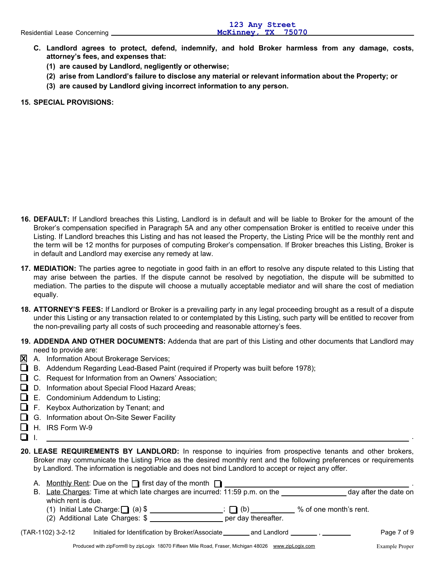- **C. Landlord agrees to protect, defend, indemnify, and hold Broker harmless from any damage, costs, attorney's fees, and expenses that:**
	- **(1) are caused by Landlord, negligently or otherwise;**
	- **(2) arise from Landlord's failure to disclose any material or relevant information about the Property; or**
	- **(3) are caused by Landlord giving incorrect information to any person.**

## **15. SPECIAL PROVISIONS:**

- **16. DEFAULT:** If Landlord breaches this Listing, Landlord is in default and will be liable to Broker for the amount of the Broker's compensation specified in Paragraph 5A and any other compensation Broker is entitled to receive under this Listing. If Landlord breaches this Listing and has not leased the Property, the Listing Price will be the monthly rent and the term will be 12 months for purposes of computing Broker's compensation. If Broker breaches this Listing, Broker is in default and Landlord may exercise any remedy at law.
- **17. MEDIATION:** The parties agree to negotiate in good faith in an effort to resolve any dispute related to this Listing that may arise between the parties. If the dispute cannot be resolved by negotiation, the dispute will be submitted to mediation. The parties to the dispute will choose a mutually acceptable mediator and will share the cost of mediation equally.
- **18. ATTORNEY'S FEES:** If Landlord or Broker is a prevailing party in any legal proceeding brought as a result of a dispute under this Listing or any transaction related to or contemplated by this Listing, such party will be entitled to recover from the non-prevailing party all costs of such proceeding and reasonable attorney's fees.
- **19. ADDENDA AND OTHER DOCUMENTS:** Addenda that are part of this Listing and other documents that Landlord may need to provide are:
- **X** A. Information About Brokerage Services;
- $\Box$  B. Addendum Regarding Lead-Based Paint (required if Property was built before 1978);
- C. Request for Information from an Owners' Association;
- D. Information about Special Flood Hazard Areas;
- $\Box$  E. Condominium Addendum to Listing;
- $\Box$  F. Keybox Authorization by Tenant; and
- **■** G. Information about On-Site Sewer Facility
- $\Box$  H. IRS Form W-9
- I.
- **20. LEASE REQUIREMENTS BY LANDLORD:** In response to inquiries from prospective tenants and other brokers, Broker may communicate the Listing Price as the desired monthly rent and the following preferences or requirements by Landlord. The information is negotiable and does not bind Landlord to accept or reject any offer.

|                    | A. Monthly Rent: Due on the $\Box$ first day of the month $\Box$ |                                                                             |                                                                                                                |                       |
|--------------------|------------------------------------------------------------------|-----------------------------------------------------------------------------|----------------------------------------------------------------------------------------------------------------|-----------------------|
|                    |                                                                  | B. Late Charges: Time at which late charges are incurred: 11:59 p.m. on the |                                                                                                                | day after the date on |
| which rent is due. |                                                                  |                                                                             |                                                                                                                |                       |
|                    |                                                                  | $\Box$ (b)                                                                  | % of one month's rent.                                                                                         |                       |
|                    | (2) Additional Late Charges: \$                                  | per day thereafter.                                                         |                                                                                                                |                       |
| (TAR-1102) 3-2-12  | Initialed for Identification by Broker/Associate                 |                                                                             | and Landlord . The contract of the contract of the contract of the contract of the contract of the contract of | Page 7 of 9           |

.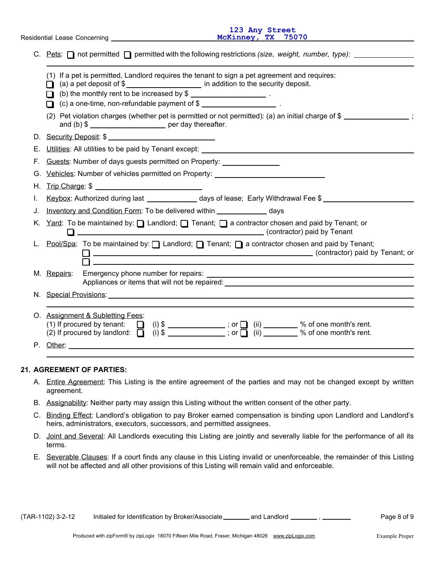Residential Lease Concerning

**123 Any Street McKinney, TX 75070**

|    | C. Pets: $\Box$ not permitted $\Box$ permitted with the following restrictions (size, weight, number, type): $\Box$                                                                                                                                                                                                                       |  |  |  |  |
|----|-------------------------------------------------------------------------------------------------------------------------------------------------------------------------------------------------------------------------------------------------------------------------------------------------------------------------------------------|--|--|--|--|
|    | (1) If a pet is permitted, Landlord requires the tenant to sign a pet agreement and requires:<br>(a) a pet deposit of \$_______________________ in addition to the security deposit.<br>□ (b) the monthly rent to be increased by \$<br>(c) a one-time, non-refundable payment of $\frac{1}{2}$ [100] $\frac{1}{2}$ [100] $\frac{1}{2}$ . |  |  |  |  |
|    | (2) Pet violation charges (whether pet is permitted or not permitted): (a) an initial charge of \$<br>and (b) $\frac{1}{2}$ per day thereafter.                                                                                                                                                                                           |  |  |  |  |
|    | D. Security Deposit: \$                                                                                                                                                                                                                                                                                                                   |  |  |  |  |
|    | E. Utilities: All utilities to be paid by Tenant except:                                                                                                                                                                                                                                                                                  |  |  |  |  |
|    | F. Guests: Number of days guests permitted on Property: ________________________                                                                                                                                                                                                                                                          |  |  |  |  |
|    | G. Vehicles: Number of vehicles permitted on Property: _________________________                                                                                                                                                                                                                                                          |  |  |  |  |
|    |                                                                                                                                                                                                                                                                                                                                           |  |  |  |  |
| L. | Keybox: Authorized during last ______________ days of lease; Early Withdrawal Fee \$                                                                                                                                                                                                                                                      |  |  |  |  |
| J. | Inventory and Condition Form: To be delivered within ______________ days                                                                                                                                                                                                                                                                  |  |  |  |  |
|    | K. Yard: To be maintained by: I Landlord; I Tenant; I a contractor chosen and paid by Tenant; or<br>Contractor) paid by Tenant                                                                                                                                                                                                            |  |  |  |  |
|    | L. Pool/Spa: To be maintained by: [Candlord; [Canant; [Canantricon chosen and paid by Tenant;<br>contractor) paid by Tenant; or<br><u> 1980 - Jan Stein Stein Stein Stein Stein Stein Stein Stein Stein Stein Stein Stein Stein Stein Stein Stein S</u>                                                                                   |  |  |  |  |
|    | M. Repairs:<br>Appliances or items that will not be repaired: North and the set of the set of the set of the set of the set of the set of the set of the set of the set of the set of the set of the set of the set of the set of the set of                                                                                              |  |  |  |  |
|    |                                                                                                                                                                                                                                                                                                                                           |  |  |  |  |
|    | O. Assignment & Subletting Fees:<br>(1) If procured by tenant: $\Box$ (i) \$ ____________; or $\Box$ (ii) ______ % of one month's rent.<br>(2) If procured by landlord: $\Box$ (i) \$ ___________; or $\Box$ (ii) _______ % of one month's rent.                                                                                          |  |  |  |  |
|    |                                                                                                                                                                                                                                                                                                                                           |  |  |  |  |
|    |                                                                                                                                                                                                                                                                                                                                           |  |  |  |  |

### **21. AGREEMENT OF PARTIES:**

- A. Entire Agreement: This Listing is the entire agreement of the parties and may not be changed except by written agreement.
- B. Assignability: Neither party may assign this Listing without the written consent of the other party.
- C. Binding Effect: Landlord's obligation to pay Broker earned compensation is binding upon Landlord and Landlord's heirs, administrators, executors, successors, and permitted assignees.
- D. Joint and Several: All Landlords executing this Listing are jointly and severally liable for the performance of all its terms.
- E. Severable Clauses: If a court finds any clause in this Listing invalid or unenforceable, the remainder of this Listing will not be affected and all other provisions of this Listing will remain valid and enforceable.